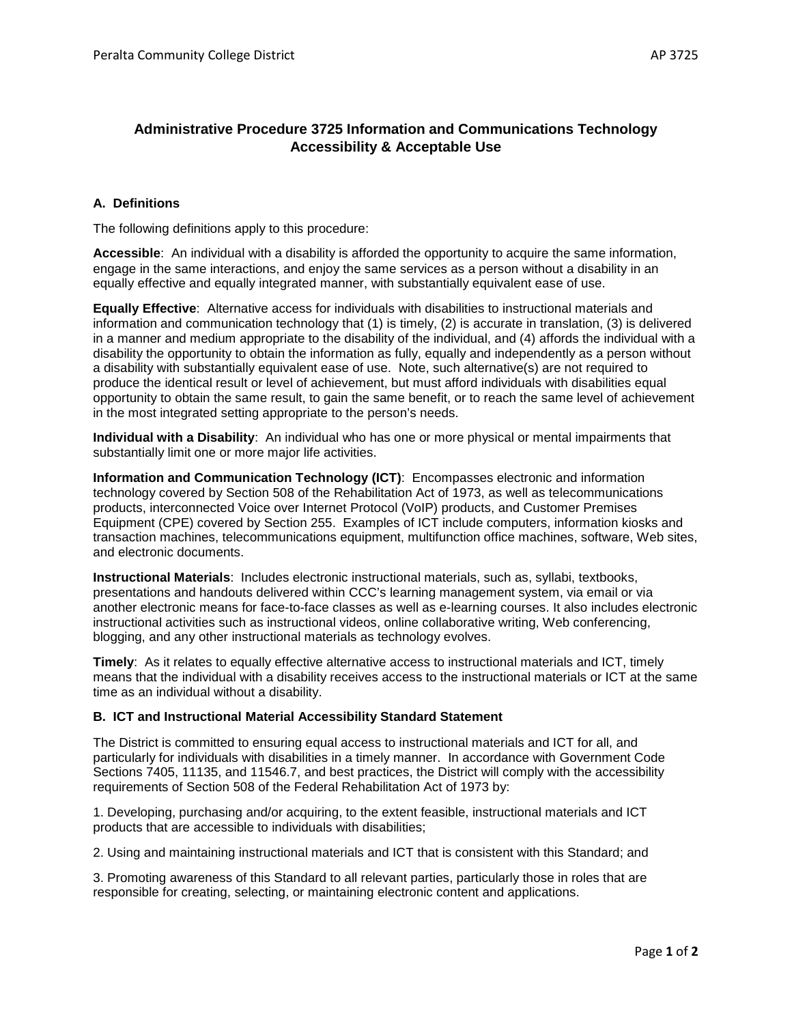## **Administrative Procedure 3725 Information and Communications Technology Accessibility & Acceptable Use**

## **A. Definitions**

The following definitions apply to this procedure:

**Accessible**: An individual with a disability is afforded the opportunity to acquire the same information, engage in the same interactions, and enjoy the same services as a person without a disability in an equally effective and equally integrated manner, with substantially equivalent ease of use.

**Equally Effective**: Alternative access for individuals with disabilities to instructional materials and information and communication technology that (1) is timely, (2) is accurate in translation, (3) is delivered in a manner and medium appropriate to the disability of the individual, and (4) affords the individual with a disability the opportunity to obtain the information as fully, equally and independently as a person without a disability with substantially equivalent ease of use. Note, such alternative(s) are not required to produce the identical result or level of achievement, but must afford individuals with disabilities equal opportunity to obtain the same result, to gain the same benefit, or to reach the same level of achievement in the most integrated setting appropriate to the person's needs.

**Individual with a Disability**: An individual who has one or more physical or mental impairments that substantially limit one or more major life activities.

**Information and Communication Technology (ICT)**: Encompasses electronic and information technology covered by Section 508 of the Rehabilitation Act of 1973, as well as telecommunications products, interconnected Voice over Internet Protocol (VoIP) products, and Customer Premises Equipment (CPE) covered by Section 255. Examples of ICT include computers, information kiosks and transaction machines, telecommunications equipment, multifunction office machines, software, Web sites, and electronic documents.

**Instructional Materials**: Includes electronic instructional materials, such as, syllabi, textbooks, presentations and handouts delivered within CCC's learning management system, via email or via another electronic means for face-to-face classes as well as e-learning courses. It also includes electronic instructional activities such as instructional videos, online collaborative writing, Web conferencing, blogging, and any other instructional materials as technology evolves.

**Timely**: As it relates to equally effective alternative access to instructional materials and ICT, timely means that the individual with a disability receives access to the instructional materials or ICT at the same time as an individual without a disability.

## **B. ICT and Instructional Material Accessibility Standard Statement**

The District is committed to ensuring equal access to instructional materials and ICT for all, and particularly for individuals with disabilities in a timely manner. In accordance with Government Code Sections 7405, 11135, and 11546.7, and best practices, the District will comply with the accessibility requirements of Section 508 of the Federal Rehabilitation Act of 1973 by:

1. Developing, purchasing and/or acquiring, to the extent feasible, instructional materials and ICT products that are accessible to individuals with disabilities;

2. Using and maintaining instructional materials and ICT that is consistent with this Standard; and

3. Promoting awareness of this Standard to all relevant parties, particularly those in roles that are responsible for creating, selecting, or maintaining electronic content and applications.